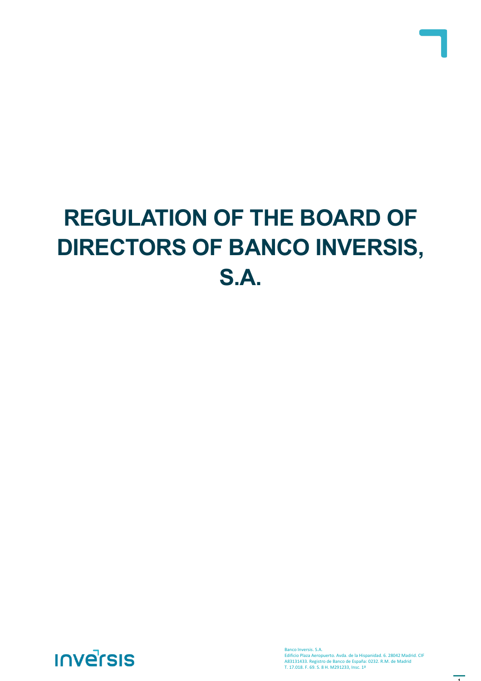# **REGULATION OF THE BOARD OF DIRECTORS OF BANCO INVERSIS, S.A.**



Banco Inversis. S.A. Edificio Plaza Aeropuerto. Avda. de la Hispanidad. 6. 28042 Madrid. CIF A83131433. Registro de Banco de España: 0232. R.M. de Madrid T. 17.018. F. 69. S. 8 H. M291233, Insc. 1ª

 $\overline{1}$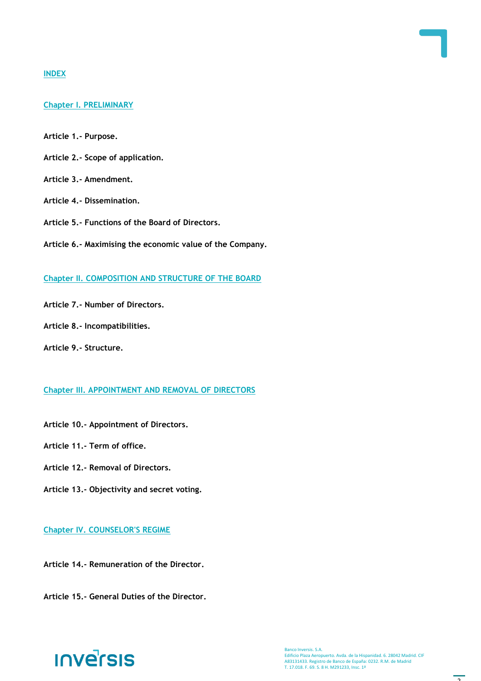### **INDEX**

# **Chapter I. PRELIMINARY**

- **Article 1.- Purpose.**
- **Article 2.- Scope of application.**
- **Article 3.- Amendment.**
- **Article 4.- Dissemination.**
- **Article 5.- Functions of the Board of Directors.**
- **Article 6.- Maximising the economic value of the Company.**

#### **Chapter II. COMPOSITION AND STRUCTURE OF THE BOARD**

- **Article 7.- Number of Directors.**
- **Article 8.- Incompatibilities.**
- **Article 9.- Structure.**

#### **Chapter III. APPOINTMENT AND REMOVAL OF DIRECTORS**

- **Article 10.- Appointment of Directors.**
- **Article 11.- Term of office.**
- **Article 12.- Removal of Directors.**
- **Article 13.- Objectivity and secret voting.**

# **Chapter IV. COUNSELOR'S REGIME**

- **Article 14.- Remuneration of the Director.**
- **Article 15.- General Duties of the Director.**

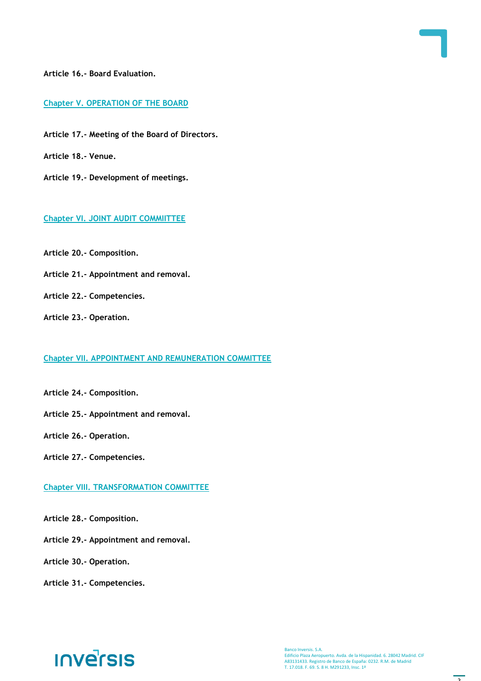**Article 16.- Board Evaluation.**

**Chapter V. OPERATION OF THE BOARD**

**Article 17.- Meeting of the Board of Directors.** 

**Article 18.- Venue.**

**Article 19.- Development of meetings.**

# **Chapter VI. JOINT AUDIT COMMIITTEE**

**Article 20.- Composition.**

**Article 21.- Appointment and removal.** 

**Article 22.- Competencies.**

**Article 23.- Operation.**

# **Chapter VII. APPOINTMENT AND REMUNERATION COMMITTEE**

**Article 24.- Composition.**

**Article 25.- Appointment and removal.** 

**Article 26.- Operation.**

**Article 27.- Competencies.**

**Chapter VIII. TRANSFORMATION COMMITTEE**

**Article 28.- Composition.**

**Article 29.- Appointment and removal.** 

**Article 30.- Operation.**

**Article 31.- Competencies.**

# **INVErSIS**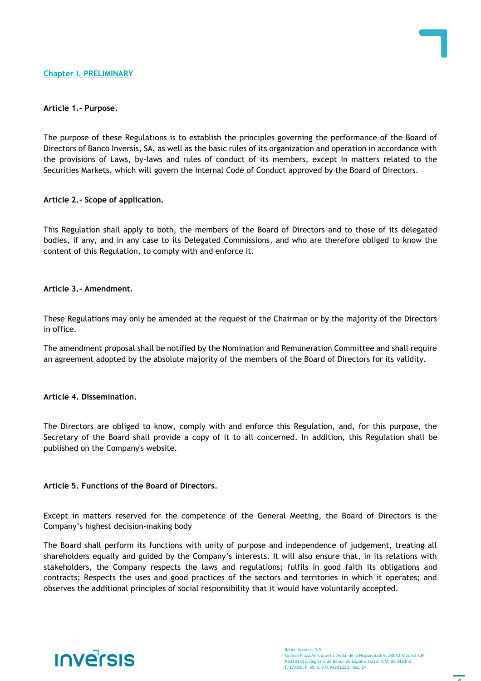#### **Article 1.- Purpose.**

The purpose of these Regulations is to establish the principles governing the performance of the Board of Directors of Banco Inversis, SA, as well as the basic rules of its organization and operation in accordance with the provisions of Laws, by-laws and rules of conduct of its members, except In matters related to the Securities Markets, which will govern the Internal Code of Conduct approved by the Board of Directors.

#### **Article 2.- Scope of application.**

This Regulation shall apply to both, the members of the Board of Directors and to those of its delegated bodies, if any, and in any case to its Delegated Commissions, and who are therefore obliged to know the content of this Regulation, to comply with and enforce it.

#### **Article 3.- Amendment.**

These Regulations may only be amended at the request of the Chairman or by the majority of the Directors in office.

The amendment proposal shall be notified by the Nomination and Remuneration Committee and shall require an agreement adopted by the absolute majority of the members of the Board of Directors for its validity.

#### **Article 4. Dissemination.**

The Directors are obliged to know, comply with and enforce this Regulation, and, for this purpose, the Secretary of the Board shall provide a copy of it to all concerned. In addition, this Regulation shall be published on the Company's website.

# **Article 5. Functions of the Board of Directors.**

Except in matters reserved for the competence of the General Meeting, the Board of Directors is the Company's highest decision-making body

The Board shall perform its functions with unity of purpose and independence of judgement, treating all shareholders equally and guided by the Company's interests. It will also ensure that, in its relations with stakeholders, the Company respects the laws and regulations; fulfils in good faith its obligations and contracts; Respects the uses and good practices of the sectors and territories in which it operates; and observes the additional principles of social responsibility that it would have voluntarily accepted.

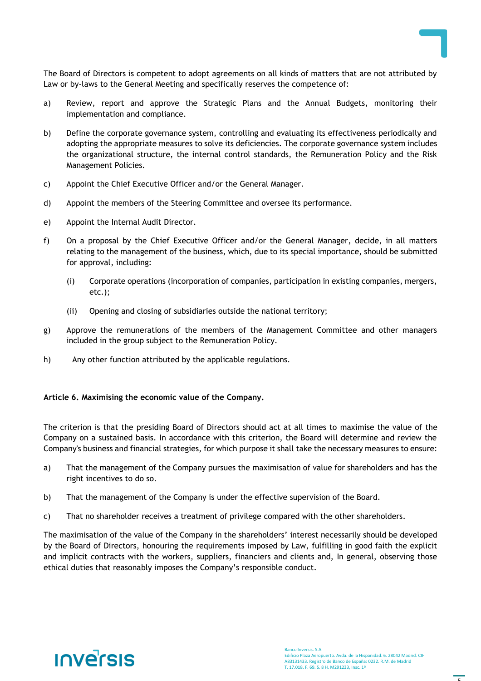

The Board of Directors is competent to adopt agreements on all kinds of matters that are not attributed by Law or by-laws to the General Meeting and specifically reserves the competence of:

- a) Review, report and approve the Strategic Plans and the Annual Budgets, monitoring their implementation and compliance.
- b) Define the corporate governance system, controlling and evaluating its effectiveness periodically and adopting the appropriate measures to solve its deficiencies. The corporate governance system includes the organizational structure, the internal control standards, the Remuneration Policy and the Risk Management Policies.
- c) Appoint the Chief Executive Officer and/or the General Manager.
- d) Appoint the members of the Steering Committee and oversee its performance.
- e) Appoint the Internal Audit Director.
- f) On a proposal by the Chief Executive Officer and/or the General Manager, decide, in all matters relating to the management of the business, which, due to its special importance, should be submitted for approval, including:
	- (i) Corporate operations (incorporation of companies, participation in existing companies, mergers, etc.);
	- (ii) Opening and closing of subsidiaries outside the national territory;
- g) Approve the remunerations of the members of the Management Committee and other managers included in the group subject to the Remuneration Policy.
- h) Any other function attributed by the applicable regulations.

#### **Article 6. Maximising the economic value of the Company.**

The criterion is that the presiding Board of Directors should act at all times to maximise the value of the Company on a sustained basis. In accordance with this criterion, the Board will determine and review the Company's business and financial strategies, for which purpose it shall take the necessary measures to ensure:

- a) That the management of the Company pursues the maximisation of value for shareholders and has the right incentives to do so.
- b) That the management of the Company is under the effective supervision of the Board.
- c) That no shareholder receives a treatment of privilege compared with the other shareholders.

The maximisation of the value of the Company in the shareholders' interest necessarily should be developed by the Board of Directors, honouring the requirements imposed by Law, fulfilling in good faith the explicit and implicit contracts with the workers, suppliers, financiers and clients and, In general, observing those ethical duties that reasonably imposes the Company's responsible conduct.

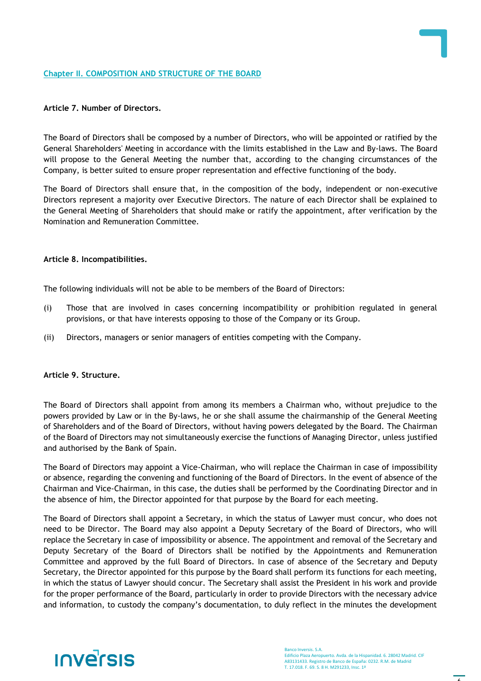#### **Chapter II. COMPOSITION AND STRUCTURE OF THE BOARD**

#### **Article 7. Number of Directors.**

The Board of Directors shall be composed by a number of Directors, who will be appointed or ratified by the General Shareholders' Meeting in accordance with the limits established in the Law and By-laws. The Board will propose to the General Meeting the number that, according to the changing circumstances of the Company, is better suited to ensure proper representation and effective functioning of the body.

The Board of Directors shall ensure that, in the composition of the body, independent or non-executive Directors represent a majority over Executive Directors. The nature of each Director shall be explained to the General Meeting of Shareholders that should make or ratify the appointment, after verification by the Nomination and Remuneration Committee.

#### **Article 8. Incompatibilities.**

The following individuals will not be able to be members of the Board of Directors:

- (i) Those that are involved in cases concerning incompatibility or prohibition regulated in general provisions, or that have interests opposing to those of the Company or its Group.
- (ii) Directors, managers or senior managers of entities competing with the Company.

#### **Article 9. Structure.**

The Board of Directors shall appoint from among its members a Chairman who, without prejudice to the powers provided by Law or in the By-laws, he or she shall assume the chairmanship of the General Meeting of Shareholders and of the Board of Directors, without having powers delegated by the Board. The Chairman of the Board of Directors may not simultaneously exercise the functions of Managing Director, unless justified and authorised by the Bank of Spain.

The Board of Directors may appoint a Vice-Chairman, who will replace the Chairman in case of impossibility or absence, regarding the convening and functioning of the Board of Directors. In the event of absence of the Chairman and Vice-Chairman, in this case, the duties shall be performed by the Coordinating Director and in the absence of him, the Director appointed for that purpose by the Board for each meeting.

The Board of Directors shall appoint a Secretary, in which the status of Lawyer must concur, who does not need to be Director. The Board may also appoint a Deputy Secretary of the Board of Directors, who will replace the Secretary in case of impossibility or absence. The appointment and removal of the Secretary and Deputy Secretary of the Board of Directors shall be notified by the Appointments and Remuneration Committee and approved by the full Board of Directors. In case of absence of the Secretary and Deputy Secretary, the Director appointed for this purpose by the Board shall perform its functions for each meeting, in which the status of Lawyer should concur. The Secretary shall assist the President in his work and provide for the proper performance of the Board, particularly in order to provide Directors with the necessary advice and information, to custody the company's documentation, to duly reflect in the minutes the development

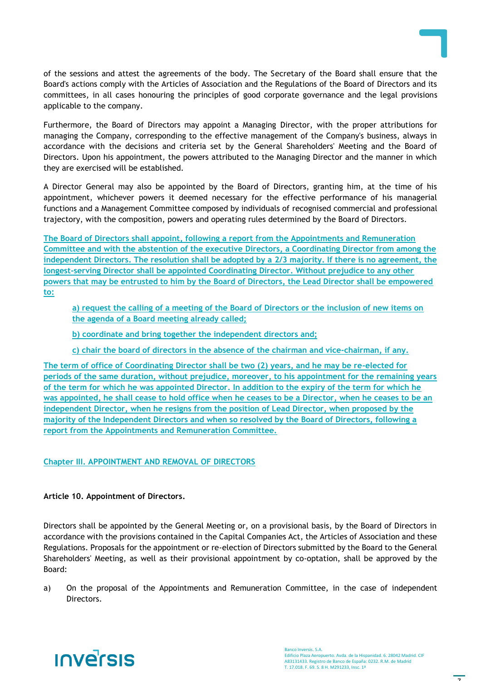of the sessions and attest the agreements of the body. The Secretary of the Board shall ensure that the Board's actions comply with the Articles of Association and the Regulations of the Board of Directors and its committees, in all cases honouring the principles of good corporate governance and the legal provisions applicable to the company.

Furthermore, the Board of Directors may appoint a Managing Director, with the proper attributions for managing the Company, corresponding to the effective management of the Company's business, always in accordance with the decisions and criteria set by the General Shareholders' Meeting and the Board of Directors. Upon his appointment, the powers attributed to the Managing Director and the manner in which they are exercised will be established.

A Director General may also be appointed by the Board of Directors, granting him, at the time of his appointment, whichever powers it deemed necessary for the effective performance of his managerial functions and a Management Committee composed by individuals of recognised commercial and professional trajectory, with the composition, powers and operating rules determined by the Board of Directors.

**The Board of Directors shall appoint, following a report from the Appointments and Remuneration Committee and with the abstention of the executive Directors, a Coordinating Director from among the independent Directors. The resolution shall be adopted by a 2/3 majority. If there is no agreement, the longest-serving Director shall be appointed Coordinating Director. Without prejudice to any other powers that may be entrusted to him by the Board of Directors, the Lead Director shall be empowered to:**

**a) request the calling of a meeting of the Board of Directors or the inclusion of new items on the agenda of a Board meeting already called;**

**b) coordinate and bring together the independent directors and;**

**c) chair the board of directors in the absence of the chairman and vice-chairman, if any.**

**The term of office of Coordinating Director shall be two (2) years, and he may be re-elected for periods of the same duration, without prejudice, moreover, to his appointment for the remaining years of the term for which he was appointed Director. In addition to the expiry of the term for which he was appointed, he shall cease to hold office when he ceases to be a Director, when he ceases to be an independent Director, when he resigns from the position of Lead Director, when proposed by the majority of the Independent Directors and when so resolved by the Board of Directors, following a report from the Appointments and Remuneration Committee.**

# **Chapter III. APPOINTMENT AND REMOVAL OF DIRECTORS**

# **Article 10. Appointment of Directors.**

Directors shall be appointed by the General Meeting or, on a provisional basis, by the Board of Directors in accordance with the provisions contained in the Capital Companies Act, the Articles of Association and these Regulations. Proposals for the appointment or re-election of Directors submitted by the Board to the General Shareholders' Meeting, as well as their provisional appointment by co-optation, shall be approved by the Board:

a) On the proposal of the Appointments and Remuneration Committee, in the case of independent Directors.

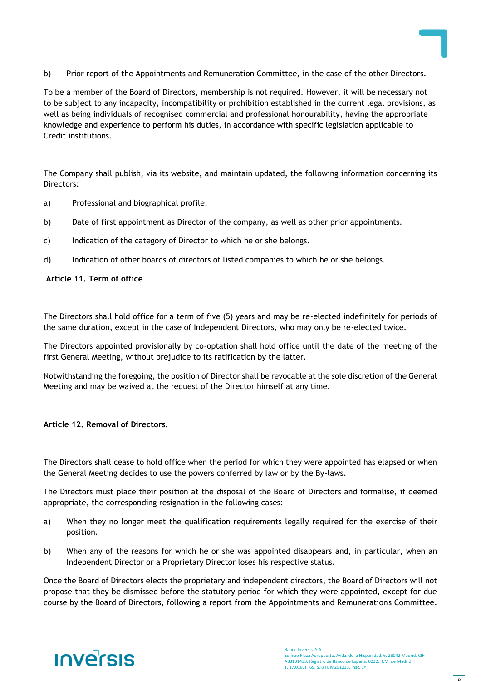

To be a member of the Board of Directors, membership is not required. However, it will be necessary not to be subject to any incapacity, incompatibility or prohibition established in the current legal provisions, as well as being individuals of recognised commercial and professional honourability, having the appropriate knowledge and experience to perform his duties, in accordance with specific legislation applicable to Credit institutions.

The Company shall publish, via its website, and maintain updated, the following information concerning its Directors:

- a) Professional and biographical profile.
- b) Date of first appointment as Director of the company, as well as other prior appointments.
- c) Indication of the category of Director to which he or she belongs.
- d) Indication of other boards of directors of listed companies to which he or she belongs.

#### **Article 11. Term of office**

The Directors shall hold office for a term of five (5) years and may be re-elected indefinitely for periods of the same duration, except in the case of Independent Directors, who may only be re-elected twice.

The Directors appointed provisionally by co-optation shall hold office until the date of the meeting of the first General Meeting, without prejudice to its ratification by the latter.

Notwithstanding the foregoing, the position of Director shall be revocable at the sole discretion of the General Meeting and may be waived at the request of the Director himself at any time.

#### **Article 12. Removal of Directors.**

The Directors shall cease to hold office when the period for which they were appointed has elapsed or when the General Meeting decides to use the powers conferred by law or by the By-laws.

The Directors must place their position at the disposal of the Board of Directors and formalise, if deemed appropriate, the corresponding resignation in the following cases:

- a) When they no longer meet the qualification requirements legally required for the exercise of their position.
- b) When any of the reasons for which he or she was appointed disappears and, in particular, when an Independent Director or a Proprietary Director loses his respective status.

Once the Board of Directors elects the proprietary and independent directors, the Board of Directors will not propose that they be dismissed before the statutory period for which they were appointed, except for due course by the Board of Directors, following a report from the Appointments and Remunerations Committee.

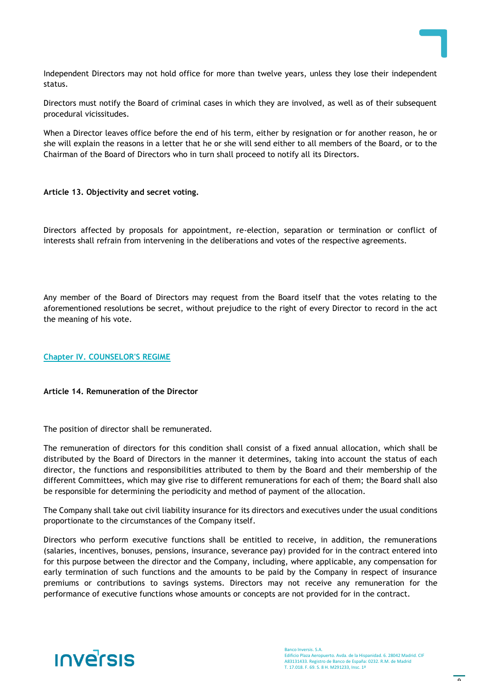

Independent Directors may not hold office for more than twelve years, unless they lose their independent status.

Directors must notify the Board of criminal cases in which they are involved, as well as of their subsequent procedural vicissitudes.

When a Director leaves office before the end of his term, either by resignation or for another reason, he or she will explain the reasons in a letter that he or she will send either to all members of the Board, or to the Chairman of the Board of Directors who in turn shall proceed to notify all its Directors.

#### **Article 13. Objectivity and secret voting.**

Directors affected by proposals for appointment, re-election, separation or termination or conflict of interests shall refrain from intervening in the deliberations and votes of the respective agreements.

Any member of the Board of Directors may request from the Board itself that the votes relating to the aforementioned resolutions be secret, without prejudice to the right of every Director to record in the act the meaning of his vote.

# **Chapter IV. COUNSELOR'S REGIME**

#### **Article 14. Remuneration of the Director**

The position of director shall be remunerated.

The remuneration of directors for this condition shall consist of a fixed annual allocation, which shall be distributed by the Board of Directors in the manner it determines, taking into account the status of each director, the functions and responsibilities attributed to them by the Board and their membership of the different Committees, which may give rise to different remunerations for each of them; the Board shall also be responsible for determining the periodicity and method of payment of the allocation.

The Company shall take out civil liability insurance for its directors and executives under the usual conditions proportionate to the circumstances of the Company itself.

Directors who perform executive functions shall be entitled to receive, in addition, the remunerations (salaries, incentives, bonuses, pensions, insurance, severance pay) provided for in the contract entered into for this purpose between the director and the Company, including, where applicable, any compensation for early termination of such functions and the amounts to be paid by the Company in respect of insurance premiums or contributions to savings systems. Directors may not receive any remuneration for the performance of executive functions whose amounts or concepts are not provided for in the contract.

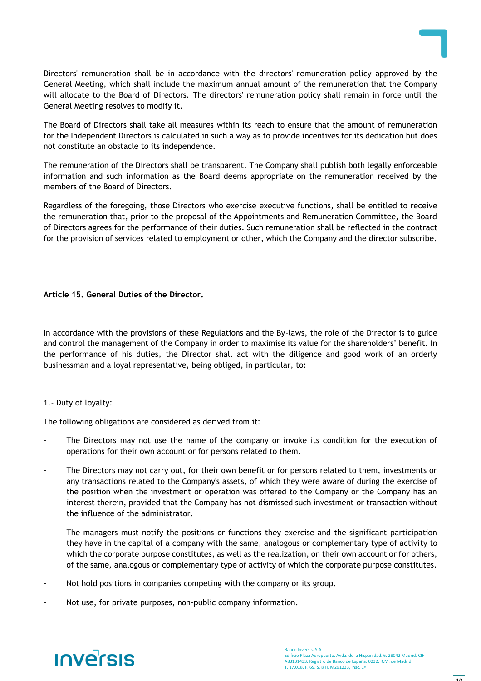

Directors' remuneration shall be in accordance with the directors' remuneration policy approved by the General Meeting, which shall include the maximum annual amount of the remuneration that the Company will allocate to the Board of Directors. The directors' remuneration policy shall remain in force until the General Meeting resolves to modify it.

The Board of Directors shall take all measures within its reach to ensure that the amount of remuneration for the Independent Directors is calculated in such a way as to provide incentives for its dedication but does not constitute an obstacle to its independence.

The remuneration of the Directors shall be transparent. The Company shall publish both legally enforceable information and such information as the Board deems appropriate on the remuneration received by the members of the Board of Directors.

Regardless of the foregoing, those Directors who exercise executive functions, shall be entitled to receive the remuneration that, prior to the proposal of the Appointments and Remuneration Committee, the Board of Directors agrees for the performance of their duties. Such remuneration shall be reflected in the contract for the provision of services related to employment or other, which the Company and the director subscribe.

# **Article 15. General Duties of the Director.**

In accordance with the provisions of these Regulations and the By-laws, the role of the Director is to guide and control the management of the Company in order to maximise its value for the shareholders' benefit. In the performance of his duties, the Director shall act with the diligence and good work of an orderly businessman and a loyal representative, being obliged, in particular, to:

# 1.- Duty of loyalty:

The following obligations are considered as derived from it:

- The Directors may not use the name of the company or invoke its condition for the execution of operations for their own account or for persons related to them.
- The Directors may not carry out, for their own benefit or for persons related to them, investments or any transactions related to the Company's assets, of which they were aware of during the exercise of the position when the investment or operation was offered to the Company or the Company has an interest therein, provided that the Company has not dismissed such investment or transaction without the influence of the administrator.
- The managers must notify the positions or functions they exercise and the significant participation they have in the capital of a company with the same, analogous or complementary type of activity to which the corporate purpose constitutes, as well as the realization, on their own account or for others, of the same, analogous or complementary type of activity of which the corporate purpose constitutes.
- Not hold positions in companies competing with the company or its group.
- Not use, for private purposes, non-public company information.

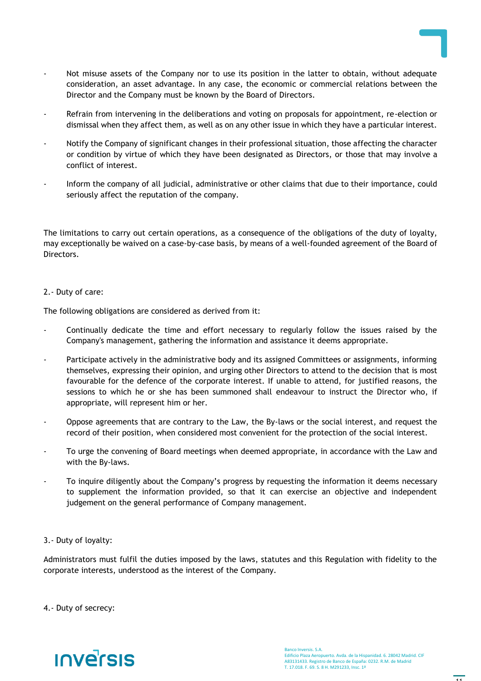

- Not misuse assets of the Company nor to use its position in the latter to obtain, without adequate consideration, an asset advantage. In any case, the economic or commercial relations between the Director and the Company must be known by the Board of Directors.
- Refrain from intervening in the deliberations and voting on proposals for appointment, re-election or dismissal when they affect them, as well as on any other issue in which they have a particular interest.
- Notify the Company of significant changes in their professional situation, those affecting the character or condition by virtue of which they have been designated as Directors, or those that may involve a conflict of interest.
- Inform the company of all judicial, administrative or other claims that due to their importance, could seriously affect the reputation of the company.

The limitations to carry out certain operations, as a consequence of the obligations of the duty of loyalty, may exceptionally be waived on a case-by-case basis, by means of a well-founded agreement of the Board of Directors.

#### 2.- Duty of care:

The following obligations are considered as derived from it:

- Continually dedicate the time and effort necessary to regularly follow the issues raised by the Company's management, gathering the information and assistance it deems appropriate.
- Participate actively in the administrative body and its assigned Committees or assignments, informing themselves, expressing their opinion, and urging other Directors to attend to the decision that is most favourable for the defence of the corporate interest. If unable to attend, for justified reasons, the sessions to which he or she has been summoned shall endeavour to instruct the Director who, if appropriate, will represent him or her.
- Oppose agreements that are contrary to the Law, the By-laws or the social interest, and request the record of their position, when considered most convenient for the protection of the social interest.
- To urge the convening of Board meetings when deemed appropriate, in accordance with the Law and with the By-laws.
- To inquire diligently about the Company's progress by requesting the information it deems necessary to supplement the information provided, so that it can exercise an objective and independent judgement on the general performance of Company management.
- 3.- Duty of loyalty:

Administrators must fulfil the duties imposed by the laws, statutes and this Regulation with fidelity to the corporate interests, understood as the interest of the Company.

4.- Duty of secrecy:

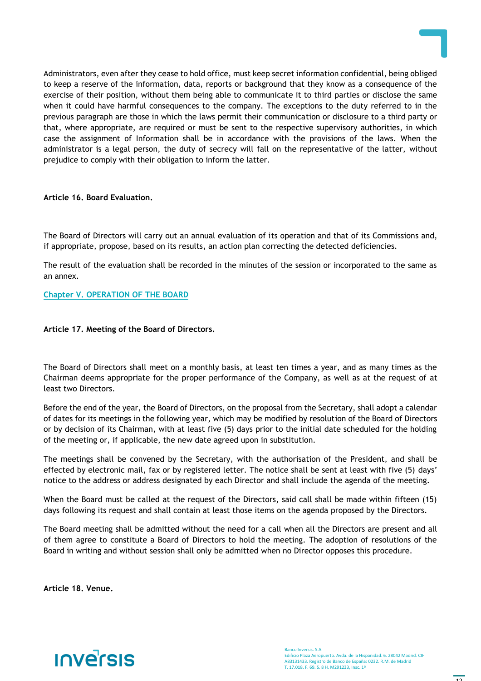

Administrators, even after they cease to hold office, must keep secret information confidential, being obliged to keep a reserve of the information, data, reports or background that they know as a consequence of the exercise of their position, without them being able to communicate it to third parties or disclose the same when it could have harmful consequences to the company. The exceptions to the duty referred to in the previous paragraph are those in which the laws permit their communication or disclosure to a third party or that, where appropriate, are required or must be sent to the respective supervisory authorities, in which case the assignment of Information shall be in accordance with the provisions of the laws. When the administrator is a legal person, the duty of secrecy will fall on the representative of the latter, without prejudice to comply with their obligation to inform the latter.

#### **Article 16. Board Evaluation.**

The Board of Directors will carry out an annual evaluation of its operation and that of its Commissions and, if appropriate, propose, based on its results, an action plan correcting the detected deficiencies.

The result of the evaluation shall be recorded in the minutes of the session or incorporated to the same as an annex.

# **Chapter V. OPERATION OF THE BOARD**

#### **Article 17. Meeting of the Board of Directors.**

The Board of Directors shall meet on a monthly basis, at least ten times a year, and as many times as the Chairman deems appropriate for the proper performance of the Company, as well as at the request of at least two Directors.

Before the end of the year, the Board of Directors, on the proposal from the Secretary, shall adopt a calendar of dates for its meetings in the following year, which may be modified by resolution of the Board of Directors or by decision of its Chairman, with at least five (5) days prior to the initial date scheduled for the holding of the meeting or, if applicable, the new date agreed upon in substitution.

The meetings shall be convened by the Secretary, with the authorisation of the President, and shall be effected by electronic mail, fax or by registered letter. The notice shall be sent at least with five (5) days' notice to the address or address designated by each Director and shall include the agenda of the meeting.

When the Board must be called at the request of the Directors, said call shall be made within fifteen (15) days following its request and shall contain at least those items on the agenda proposed by the Directors.

The Board meeting shall be admitted without the need for a call when all the Directors are present and all of them agree to constitute a Board of Directors to hold the meeting. The adoption of resolutions of the Board in writing and without session shall only be admitted when no Director opposes this procedure.

**Article 18. Venue.**

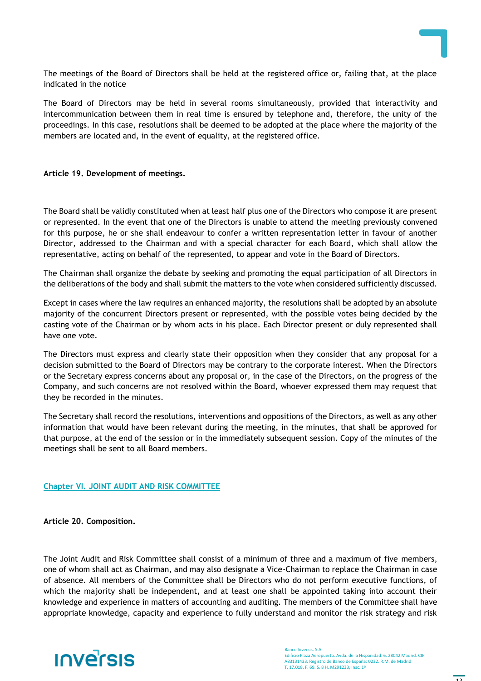

The meetings of the Board of Directors shall be held at the registered office or, failing that, at the place indicated in the notice

The Board of Directors may be held in several rooms simultaneously, provided that interactivity and intercommunication between them in real time is ensured by telephone and, therefore, the unity of the proceedings. In this case, resolutions shall be deemed to be adopted at the place where the majority of the members are located and, in the event of equality, at the registered office.

#### **Article 19. Development of meetings.**

The Board shall be validly constituted when at least half plus one of the Directors who compose it are present or represented. In the event that one of the Directors is unable to attend the meeting previously convened for this purpose, he or she shall endeavour to confer a written representation letter in favour of another Director, addressed to the Chairman and with a special character for each Board, which shall allow the representative, acting on behalf of the represented, to appear and vote in the Board of Directors.

The Chairman shall organize the debate by seeking and promoting the equal participation of all Directors in the deliberations of the body and shall submit the matters to the vote when considered sufficiently discussed.

Except in cases where the law requires an enhanced majority, the resolutions shall be adopted by an absolute majority of the concurrent Directors present or represented, with the possible votes being decided by the casting vote of the Chairman or by whom acts in his place. Each Director present or duly represented shall have one vote.

The Directors must express and clearly state their opposition when they consider that any proposal for a decision submitted to the Board of Directors may be contrary to the corporate interest. When the Directors or the Secretary express concerns about any proposal or, in the case of the Directors, on the progress of the Company, and such concerns are not resolved within the Board, whoever expressed them may request that they be recorded in the minutes.

The Secretary shall record the resolutions, interventions and oppositions of the Directors, as well as any other information that would have been relevant during the meeting, in the minutes, that shall be approved for that purpose, at the end of the session or in the immediately subsequent session. Copy of the minutes of the meetings shall be sent to all Board members.

# **Chapter VI. JOINT AUDIT AND RISK COMMITTEE**

**Article 20. Composition.**

The Joint Audit and Risk Committee shall consist of a minimum of three and a maximum of five members, one of whom shall act as Chairman, and may also designate a Vice-Chairman to replace the Chairman in case of absence. All members of the Committee shall be Directors who do not perform executive functions, of which the majority shall be independent, and at least one shall be appointed taking into account their knowledge and experience in matters of accounting and auditing. The members of the Committee shall have appropriate knowledge, capacity and experience to fully understand and monitor the risk strategy and risk

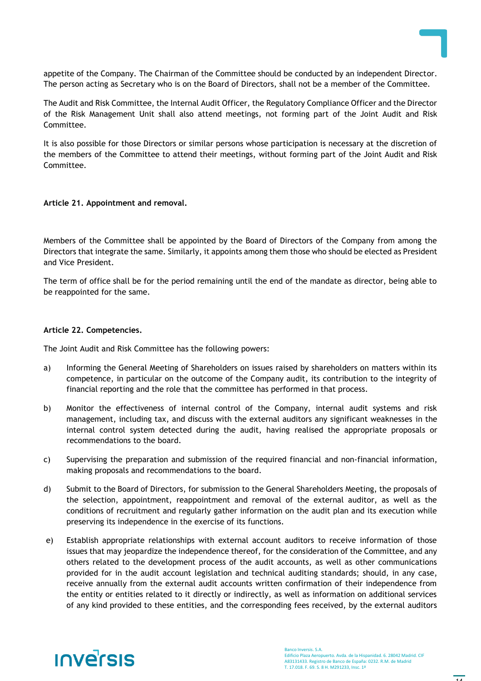

appetite of the Company. The Chairman of the Committee should be conducted by an independent Director. The person acting as Secretary who is on the Board of Directors, shall not be a member of the Committee.

The Audit and Risk Committee, the Internal Audit Officer, the Regulatory Compliance Officer and the Director of the Risk Management Unit shall also attend meetings, not forming part of the Joint Audit and Risk Committee.

It is also possible for those Directors or similar persons whose participation is necessary at the discretion of the members of the Committee to attend their meetings, without forming part of the Joint Audit and Risk Committee.

#### **Article 21. Appointment and removal.**

Members of the Committee shall be appointed by the Board of Directors of the Company from among the Directors that integrate the same. Similarly, it appoints among them those who should be elected as President and Vice President.

The term of office shall be for the period remaining until the end of the mandate as director, being able to be reappointed for the same.

#### **Article 22. Competencies.**

The Joint Audit and Risk Committee has the following powers:

- a) Informing the General Meeting of Shareholders on issues raised by shareholders on matters within its competence, in particular on the outcome of the Company audit, its contribution to the integrity of financial reporting and the role that the committee has performed in that process.
- b) Monitor the effectiveness of internal control of the Company, internal audit systems and risk management, including tax, and discuss with the external auditors any significant weaknesses in the internal control system detected during the audit, having realised the appropriate proposals or recommendations to the board.
- c) Supervising the preparation and submission of the required financial and non-financial information, making proposals and recommendations to the board.
- d) Submit to the Board of Directors, for submission to the General Shareholders Meeting, the proposals of the selection, appointment, reappointment and removal of the external auditor, as well as the conditions of recruitment and regularly gather information on the audit plan and its execution while preserving its independence in the exercise of its functions.
- e) Establish appropriate relationships with external account auditors to receive information of those issues that may jeopardize the independence thereof, for the consideration of the Committee, and any others related to the development process of the audit accounts, as well as other communications provided for in the audit account legislation and technical auditing standards; should, in any case, receive annually from the external audit accounts written confirmation of their independence from the entity or entities related to it directly or indirectly, as well as information on additional services of any kind provided to these entities, and the corresponding fees received, by the external auditors

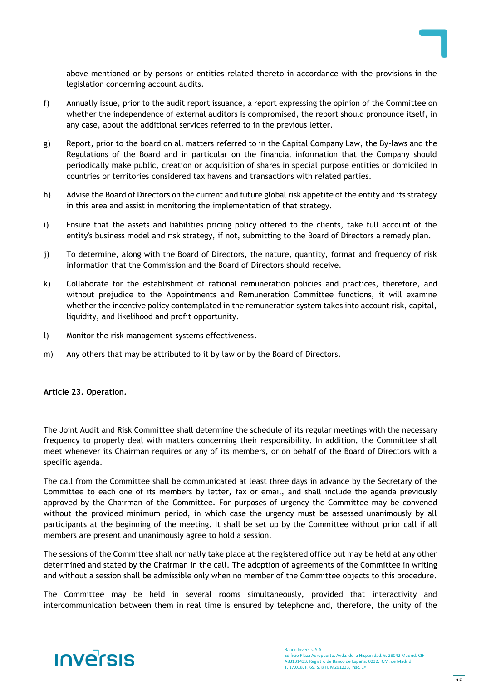

above mentioned or by persons or entities related thereto in accordance with the provisions in the legislation concerning account audits.

- f) Annually issue, prior to the audit report issuance, a report expressing the opinion of the Committee on whether the independence of external auditors is compromised, the report should pronounce itself, in any case, about the additional services referred to in the previous letter.
- g) Report, prior to the board on all matters referred to in the Capital Company Law, the By-laws and the Regulations of the Board and in particular on the financial information that the Company should periodically make public, creation or acquisition of shares in special purpose entities or domiciled in countries or territories considered tax havens and transactions with related parties.
- h) Advise the Board of Directors on the current and future global risk appetite of the entity and its strategy in this area and assist in monitoring the implementation of that strategy.
- i) Ensure that the assets and liabilities pricing policy offered to the clients, take full account of the entity's business model and risk strategy, if not, submitting to the Board of Directors a remedy plan.
- j) To determine, along with the Board of Directors, the nature, quantity, format and frequency of risk information that the Commission and the Board of Directors should receive.
- k) Collaborate for the establishment of rational remuneration policies and practices, therefore, and without prejudice to the Appointments and Remuneration Committee functions, it will examine whether the incentive policy contemplated in the remuneration system takes into account risk, capital, liquidity, and likelihood and profit opportunity.
- l) Monitor the risk management systems effectiveness.
- m) Any others that may be attributed to it by law or by the Board of Directors.

#### **Article 23. Operation.**

The Joint Audit and Risk Committee shall determine the schedule of its regular meetings with the necessary frequency to properly deal with matters concerning their responsibility. In addition, the Committee shall meet whenever its Chairman requires or any of its members, or on behalf of the Board of Directors with a specific agenda.

The call from the Committee shall be communicated at least three days in advance by the Secretary of the Committee to each one of its members by letter, fax or email, and shall include the agenda previously approved by the Chairman of the Committee. For purposes of urgency the Committee may be convened without the provided minimum period, in which case the urgency must be assessed unanimously by all participants at the beginning of the meeting. It shall be set up by the Committee without prior call if all members are present and unanimously agree to hold a session.

The sessions of the Committee shall normally take place at the registered office but may be held at any other determined and stated by the Chairman in the call. The adoption of agreements of the Committee in writing and without a session shall be admissible only when no member of the Committee objects to this procedure.

The Committee may be held in several rooms simultaneously, provided that interactivity and intercommunication between them in real time is ensured by telephone and, therefore, the unity of the

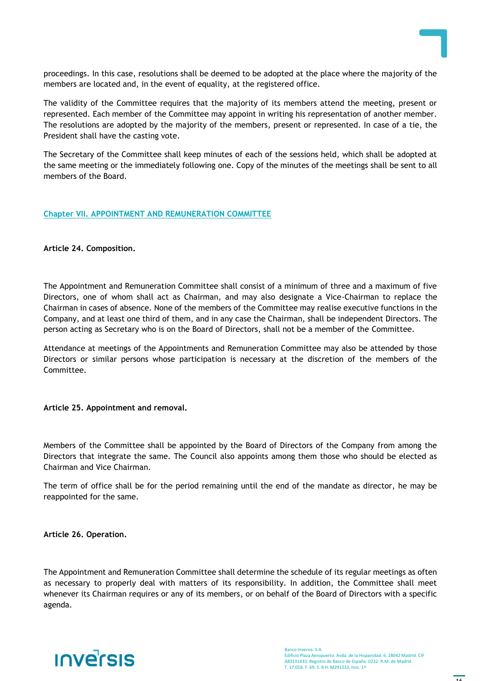

proceedings. In this case, resolutions shall be deemed to be adopted at the place where the majority of the members are located and, in the event of equality, at the registered office.

The validity of the Committee requires that the majority of its members attend the meeting, present or represented. Each member of the Committee may appoint in writing his representation of another member. The resolutions are adopted by the majority of the members, present or represented. In case of a tie, the President shall have the casting vote.

The Secretary of the Committee shall keep minutes of each of the sessions held, which shall be adopted at the same meeting or the immediately following one. Copy of the minutes of the meetings shall be sent to all members of the Board.

# **Chapter VII. APPOINTMENT AND REMUNERATION COMMITTEE**

#### **Article 24. Composition.**

The Appointment and Remuneration Committee shall consist of a minimum of three and a maximum of five Directors, one of whom shall act as Chairman, and may also designate a Vice-Chairman to replace the Chairman in cases of absence. None of the members of the Committee may realise executive functions in the Company, and at least one third of them, and in any case the Chairman, shall be independent Directors. The person acting as Secretary who is on the Board of Directors, shall not be a member of the Committee.

Attendance at meetings of the Appointments and Remuneration Committee may also be attended by those Directors or similar persons whose participation is necessary at the discretion of the members of the Committee.

#### **Article 25. Appointment and removal.**

Members of the Committee shall be appointed by the Board of Directors of the Company from among the Directors that integrate the same. The Council also appoints among them those who should be elected as Chairman and Vice Chairman.

The term of office shall be for the period remaining until the end of the mandate as director, he may be reappointed for the same.

**Article 26. Operation.**

The Appointment and Remuneration Committee shall determine the schedule of its regular meetings as often as necessary to properly deal with matters of its responsibility. In addition, the Committee shall meet whenever its Chairman requires or any of its members, or on behalf of the Board of Directors with a specific agenda.

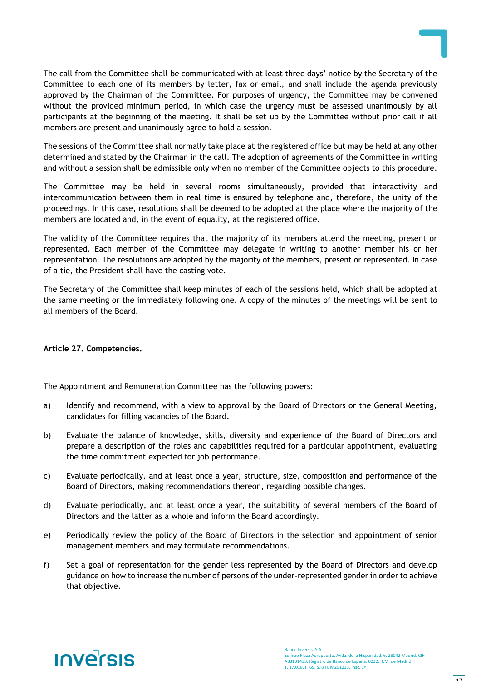

The call from the Committee shall be communicated with at least three days' notice by the Secretary of the Committee to each one of its members by letter, fax or email, and shall include the agenda previously approved by the Chairman of the Committee. For purposes of urgency, the Committee may be convened without the provided minimum period, in which case the urgency must be assessed unanimously by all participants at the beginning of the meeting. It shall be set up by the Committee without prior call if all members are present and unanimously agree to hold a session.

The sessions of the Committee shall normally take place at the registered office but may be held at any other determined and stated by the Chairman in the call. The adoption of agreements of the Committee in writing and without a session shall be admissible only when no member of the Committee objects to this procedure.

The Committee may be held in several rooms simultaneously, provided that interactivity and intercommunication between them in real time is ensured by telephone and, therefore, the unity of the proceedings. In this case, resolutions shall be deemed to be adopted at the place where the majority of the members are located and, in the event of equality, at the registered office.

The validity of the Committee requires that the majority of its members attend the meeting, present or represented. Each member of the Committee may delegate in writing to another member his or her representation. The resolutions are adopted by the majority of the members, present or represented. In case of a tie, the President shall have the casting vote.

The Secretary of the Committee shall keep minutes of each of the sessions held, which shall be adopted at the same meeting or the immediately following one. A copy of the minutes of the meetings will be sent to all members of the Board.

# **Article 27. Competencies.**

The Appointment and Remuneration Committee has the following powers:

- a) Identify and recommend, with a view to approval by the Board of Directors or the General Meeting, candidates for filling vacancies of the Board.
- b) Evaluate the balance of knowledge, skills, diversity and experience of the Board of Directors and prepare a description of the roles and capabilities required for a particular appointment, evaluating the time commitment expected for job performance.
- c) Evaluate periodically, and at least once a year, structure, size, composition and performance of the Board of Directors, making recommendations thereon, regarding possible changes.
- d) Evaluate periodically, and at least once a year, the suitability of several members of the Board of Directors and the latter as a whole and inform the Board accordingly.
- e) Periodically review the policy of the Board of Directors in the selection and appointment of senior management members and may formulate recommendations.
- f) Set a goal of representation for the gender less represented by the Board of Directors and develop guidance on how to increase the number of persons of the under-represented gender in order to achieve that objective.

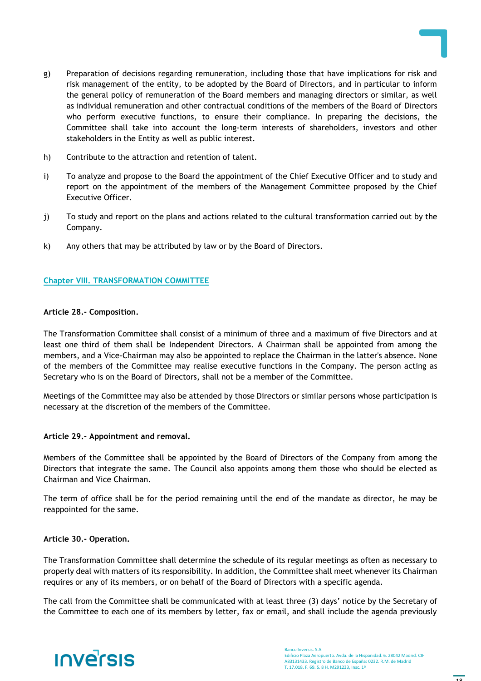

- g) Preparation of decisions regarding remuneration, including those that have implications for risk and risk management of the entity, to be adopted by the Board of Directors, and in particular to inform the general policy of remuneration of the Board members and managing directors or similar, as well as individual remuneration and other contractual conditions of the members of the Board of Directors who perform executive functions, to ensure their compliance. In preparing the decisions, the Committee shall take into account the long-term interests of shareholders, investors and other stakeholders in the Entity as well as public interest.
- h) Contribute to the attraction and retention of talent.
- i) To analyze and propose to the Board the appointment of the Chief Executive Officer and to study and report on the appointment of the members of the Management Committee proposed by the Chief Executive Officer.
- j) To study and report on the plans and actions related to the cultural transformation carried out by the Company.
- k) Any others that may be attributed by law or by the Board of Directors.

# **Chapter VIII. TRANSFORMATION COMMITTEE**

# **Article 28.- Composition.**

The Transformation Committee shall consist of a minimum of three and a maximum of five Directors and at least one third of them shall be Independent Directors. A Chairman shall be appointed from among the members, and a Vice-Chairman may also be appointed to replace the Chairman in the latter's absence. None of the members of the Committee may realise executive functions in the Company. The person acting as Secretary who is on the Board of Directors, shall not be a member of the Committee.

Meetings of the Committee may also be attended by those Directors or similar persons whose participation is necessary at the discretion of the members of the Committee.

# **Article 29.- Appointment and removal.**

Members of the Committee shall be appointed by the Board of Directors of the Company from among the Directors that integrate the same. The Council also appoints among them those who should be elected as Chairman and Vice Chairman.

The term of office shall be for the period remaining until the end of the mandate as director, he may be reappointed for the same.

# **Article 30.- Operation.**

The Transformation Committee shall determine the schedule of its regular meetings as often as necessary to properly deal with matters of its responsibility. In addition, the Committee shall meet whenever its Chairman requires or any of its members, or on behalf of the Board of Directors with a specific agenda.

The call from the Committee shall be communicated with at least three (3) days' notice by the Secretary of the Committee to each one of its members by letter, fax or email, and shall include the agenda previously

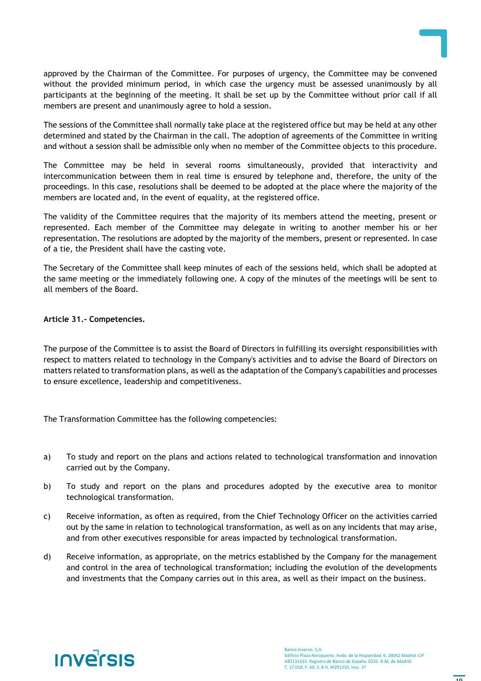approved by the Chairman of the Committee. For purposes of urgency, the Committee may be convened without the provided minimum period, in which case the urgency must be assessed unanimously by all participants at the beginning of the meeting. It shall be set up by the Committee without prior call if all members are present and unanimously agree to hold a session.

The sessions of the Committee shall normally take place at the registered office but may be held at any other determined and stated by the Chairman in the call. The adoption of agreements of the Committee in writing and without a session shall be admissible only when no member of the Committee objects to this procedure.

The Committee may be held in several rooms simultaneously, provided that interactivity and intercommunication between them in real time is ensured by telephone and, therefore, the unity of the proceedings. In this case, resolutions shall be deemed to be adopted at the place where the majority of the members are located and, in the event of equality, at the registered office.

The validity of the Committee requires that the majority of its members attend the meeting, present or represented. Each member of the Committee may delegate in writing to another member his or her representation. The resolutions are adopted by the majority of the members, present or represented. In case of a tie, the President shall have the casting vote.

The Secretary of the Committee shall keep minutes of each of the sessions held, which shall be adopted at the same meeting or the immediately following one. A copy of the minutes of the meetings will be sent to all members of the Board.

# **Article 31.- Competencies.**

The purpose of the Committee is to assist the Board of Directors in fulfilling its oversight responsibilities with respect to matters related to technology in the Company's activities and to advise the Board of Directors on matters related to transformation plans, as well as the adaptation of the Company's capabilities and processes to ensure excellence, leadership and competitiveness.

The Transformation Committee has the following competencies:

- a) To study and report on the plans and actions related to technological transformation and innovation carried out by the Company.
- b) To study and report on the plans and procedures adopted by the executive area to monitor technological transformation.
- c) Receive information, as often as required, from the Chief Technology Officer on the activities carried out by the same in relation to technological transformation, as well as on any incidents that may arise, and from other executives responsible for areas impacted by technological transformation.
- d) Receive information, as appropriate, on the metrics established by the Company for the management and control in the area of technological transformation; including the evolution of the developments and investments that the Company carries out in this area, as well as their impact on the business.